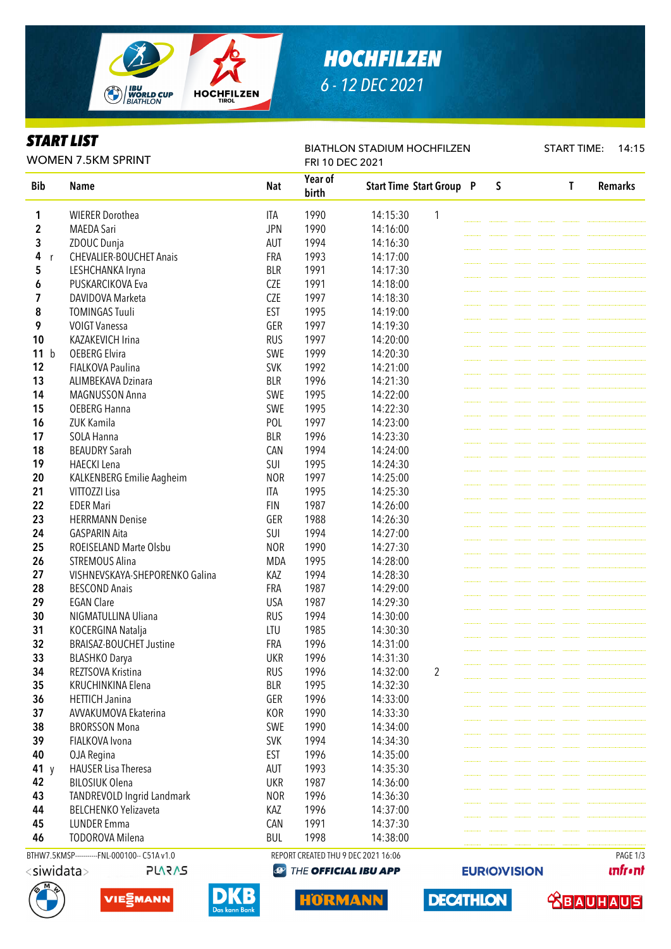

# *HOCHFILZEN 6 - 12 DEC 2021*

### *START LIST*

WOMEN 7.5KM SPRINT

#### BIATHLON STADIUM HOCHFILZEN

START TIME: 14:15

| <b>WOMEN 7.5KM SPRINT</b> |                                              |            | FRI 10 DEC 2021                     |                                 |                |  |         |  |  |   |                |
|---------------------------|----------------------------------------------|------------|-------------------------------------|---------------------------------|----------------|--|---------|--|--|---|----------------|
| <b>Bib</b>                | <b>Name</b>                                  | <b>Nat</b> | Year of<br>birth                    | <b>Start Time Start Group P</b> |                |  | $\sf S$ |  |  | T | <b>Remarks</b> |
| 1                         | <b>WIERER Dorothea</b>                       | <b>ITA</b> | 1990                                | 14:15:30                        | 1              |  |         |  |  |   |                |
| $\mathbf 2$               | <b>MAEDA Sari</b>                            | <b>JPN</b> | 1990                                | 14:16:00                        |                |  |         |  |  |   |                |
| 3                         | ZDOUC Dunja                                  | AUT        | 1994                                | 14:16:30                        |                |  |         |  |  |   |                |
| 4<br>r                    | <b>CHEVALIER-BOUCHET Anais</b>               | FRA        | 1993                                | 14:17:00                        |                |  |         |  |  |   |                |
| 5                         | LESHCHANKA Iryna                             | <b>BLR</b> | 1991                                | 14:17:30                        |                |  |         |  |  |   |                |
| 6                         | PUSKARCIKOVA Eva                             | <b>CZE</b> | 1991                                | 14:18:00                        |                |  |         |  |  |   |                |
| 7                         | DAVIDOVA Marketa                             | <b>CZE</b> | 1997                                | 14:18:30                        |                |  |         |  |  |   |                |
| 8                         | <b>TOMINGAS Tuuli</b>                        | <b>EST</b> | 1995                                | 14:19:00                        |                |  |         |  |  |   |                |
| 9                         | <b>VOIGT Vanessa</b>                         | GER        | 1997                                | 14:19:30                        |                |  |         |  |  |   |                |
| 10                        | KAZAKEVICH Irina                             | <b>RUS</b> | 1997                                | 14:20:00                        |                |  |         |  |  |   |                |
| 11 b                      | <b>OEBERG Elvira</b>                         | SWE        | 1999                                | 14:20:30                        |                |  |         |  |  |   |                |
| 12                        | <b>FIALKOVA Paulina</b>                      | <b>SVK</b> | 1992                                | 14:21:00                        |                |  |         |  |  |   |                |
| 13                        | ALIMBEKAVA Dzinara                           | <b>BLR</b> | 1996                                | 14:21:30                        |                |  |         |  |  |   |                |
| 14                        | MAGNUSSON Anna                               | SWE        | 1995                                | 14:22:00                        |                |  |         |  |  |   |                |
| 15                        | <b>OEBERG Hanna</b>                          | SWE        | 1995                                | 14:22:30                        |                |  |         |  |  |   |                |
| 16                        | ZUK Kamila                                   | POL        | 1997                                | 14:23:00                        |                |  |         |  |  |   |                |
| 17                        | SOLA Hanna                                   | <b>BLR</b> | 1996                                | 14:23:30                        |                |  |         |  |  |   |                |
| 18                        | <b>BEAUDRY Sarah</b>                         | CAN        | 1994                                | 14:24:00                        |                |  |         |  |  |   |                |
| 19                        | <b>HAECKI</b> Lena                           | SUI        | 1995                                | 14:24:30                        |                |  |         |  |  |   |                |
| 20                        | KALKENBERG Emilie Aagheim                    | <b>NOR</b> | 1997                                | 14:25:00                        |                |  |         |  |  |   |                |
| 21                        | VITTOZZI Lisa                                | <b>ITA</b> | 1995                                | 14:25:30                        |                |  |         |  |  |   |                |
| 22                        | <b>EDER Mari</b>                             | <b>FIN</b> | 1987                                | 14:26:00                        |                |  |         |  |  |   |                |
| 23                        | <b>HERRMANN Denise</b>                       | GER        | 1988                                | 14:26:30                        |                |  |         |  |  |   |                |
| 24                        | <b>GASPARIN Aita</b>                         | SUI        | 1994                                | 14:27:00                        |                |  |         |  |  |   |                |
| 25                        | ROEISELAND Marte Olsbu                       | <b>NOR</b> | 1990                                | 14:27:30                        |                |  |         |  |  |   |                |
| 26                        | <b>STREMOUS Alina</b>                        | <b>MDA</b> | 1995                                | 14:28:00                        |                |  |         |  |  |   |                |
| 27                        | VISHNEVSKAYA-SHEPORENKO Galina               | KAZ        | 1994                                | 14:28:30                        |                |  |         |  |  |   |                |
| 28                        | <b>BESCOND Anais</b>                         | FRA        | 1987                                | 14:29:00                        |                |  |         |  |  |   |                |
| 29                        | <b>EGAN Clare</b>                            | <b>USA</b> | 1987                                | 14:29:30                        |                |  |         |  |  |   |                |
| 30                        | NIGMATULLINA Uliana                          | <b>RUS</b> | 1994                                | 14:30:00                        |                |  |         |  |  |   |                |
| 31                        | KOCERGINA Natalja                            | LTU        | 1985                                | 14:30:30                        |                |  |         |  |  |   |                |
| 32                        | <b>BRAISAZ-BOUCHET Justine</b>               | FRA        | 1996                                | 14:31:00                        |                |  |         |  |  |   |                |
| 33                        |                                              | <b>UKR</b> | 1996                                | 14:31:30                        |                |  |         |  |  |   |                |
| 34                        | <b>BLASHKO Darya</b><br>REZTSOVA Kristina    | <b>RUS</b> | 1996                                | 14:32:00                        | $\overline{2}$ |  |         |  |  |   |                |
| 35                        | KRUCHINKINA Elena                            | <b>BLR</b> | 1995                                | 14:32:30                        |                |  |         |  |  |   |                |
| 36                        | <b>HETTICH Janina</b>                        | GER        | 1996                                |                                 |                |  |         |  |  |   |                |
| 37                        |                                              |            |                                     | 14:33:00                        |                |  |         |  |  |   |                |
|                           | AVVAKUMOVA Ekaterina                         | KOR        | 1990                                | 14:33:30                        |                |  |         |  |  |   |                |
| 38                        | <b>BRORSSON Mona</b>                         | SWE        | 1990                                | 14:34:00                        |                |  |         |  |  |   |                |
| 39                        | FIALKOVA Ivona                               | <b>SVK</b> | 1994                                | 14:34:30                        |                |  |         |  |  |   |                |
| 40                        | OJA Regina                                   | <b>EST</b> | 1996                                | 14:35:00                        |                |  |         |  |  |   |                |
| 41 $y$                    | <b>HAUSER Lisa Theresa</b>                   | AUT        | 1993                                | 14:35:30                        |                |  |         |  |  |   |                |
| 42                        | <b>BILOSIUK Olena</b>                        | <b>UKR</b> | 1987                                | 14:36:00                        |                |  |         |  |  |   |                |
| 43                        | TANDREVOLD Ingrid Landmark                   | <b>NOR</b> | 1996                                | 14:36:30                        |                |  |         |  |  |   |                |
| 44                        | <b>BELCHENKO Yelizaveta</b>                  | KAZ        | 1996                                | 14:37:00                        |                |  |         |  |  |   |                |
| 45                        | <b>LUNDER Emma</b>                           | CAN        | 1991                                | 14:37:30                        |                |  |         |  |  |   |                |
| 46                        | <b>TODOROVA Milena</b>                       | <b>BUL</b> | 1998                                | 14:38:00                        |                |  |         |  |  |   |                |
|                           | BTHW7.5KMSP-----------FNL-000100-- C51A v1.0 |            | REPORT CREATED THU 9 DEC 2021 16:06 |                                 |                |  |         |  |  |   | PAGE 1/3       |

**@ THE OFFICIAL IBU APP** 











**EURIO)VISION** 

**unfront** 

 **<u>CBAUHAUS</u>**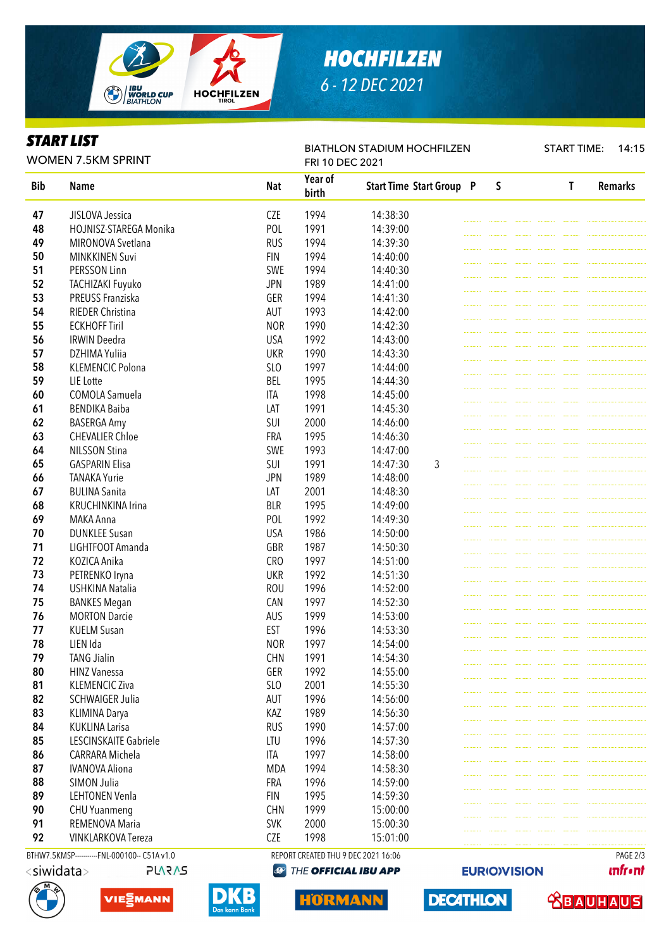

## *HOCHFILZEN 6 - 12 DEC 2021*

### *START LIST*

WOMEN 7.5KM SPRINT

BIATHLON STADIUM HOCHFILZEN

START TIME: 14:15

| Year of<br><b>Start Time Start Group P</b><br>$\mathsf S$<br><b>Bib</b><br><b>Nat</b><br>$\mathsf{T}$<br><b>Name</b><br>birth<br><b>CZE</b><br>1994<br>47<br>JISLOVA Jessica<br>14:38:30<br>48<br>POL<br>1991<br>HOJNISZ-STAREGA Monika<br>14:39:00<br><b>RUS</b><br>49<br>MIRONOVA Svetlana<br>1994<br>14:39:30<br>1994<br>50<br><b>MINKKINEN Suvi</b><br><b>FIN</b><br>14:40:00<br>51<br>1994<br>PERSSON Linn<br>SWE<br>14:40:30<br>52<br><b>JPN</b><br>1989<br>TACHIZAKI Fuyuko<br>14:41:00<br>53<br>PREUSS Franziska<br>GER<br>1994<br>14:41:30<br>RIEDER Christina<br>54<br>AUT<br>1993<br>14:42:00<br>55<br><b>NOR</b><br>1990<br><b>ECKHOFF Tiril</b><br>14:42:30<br>56<br><b>IRWIN Deedra</b><br><b>USA</b><br>1992<br>14:43:00<br>57<br>DZHIMA Yuliia<br><b>UKR</b><br>1990<br>14:43:30<br>58<br><b>KLEMENCIC Polona</b><br><b>SLO</b><br>1997<br>14:44:00<br>59<br>LIE Lotte<br><b>BEL</b><br>1995<br>14:44:30<br>60<br>COMOLA Samuela<br><b>ITA</b><br>1998<br>14:45:00<br>LAT<br>61<br><b>BENDIKA Baiba</b><br>1991<br>14:45:30<br>SUI<br>2000<br>62<br><b>BASERGA Amy</b><br>14:46:00<br>63<br>1995<br><b>CHEVALIER Chloe</b><br><b>FRA</b><br>14:46:30<br>SWE<br>64<br><b>NILSSON Stina</b><br>1993<br>14:47:00<br>65<br>SUI<br>1991<br>3<br><b>GASPARIN Elisa</b><br>14:47:30<br>1989<br>66<br><b>TANAKA Yurie</b><br><b>JPN</b><br>14:48:00<br>67<br><b>BULINA Sanita</b><br>LAT<br>2001<br>14:48:30<br>1995<br>68<br>KRUCHINKINA Irina<br><b>BLR</b><br>14:49:00<br>69<br>1992<br>MAKA Anna<br>POL<br>14:49:30<br>70<br><b>DUNKLEE Susan</b><br><b>USA</b><br>1986<br>14:50:00<br>71<br>LIGHTFOOT Amanda<br>GBR<br>1987<br>14:50:30<br>72<br>KOZICA Anika<br><b>CRO</b><br>1997<br>14:51:00<br>73<br><b>UKR</b><br>1992<br>PETRENKO Iryna<br>14:51:30<br>74<br><b>USHKINA Natalia</b><br><b>ROU</b><br>1996<br>14:52:00<br>75<br><b>BANKES Megan</b><br>CAN<br>1997<br>14:52:30<br>76<br><b>MORTON Darcie</b><br>AUS<br>1999<br>14:53:00<br><b>EST</b><br>77<br><b>KUELM Susan</b><br>1996<br>14:53:30<br>78<br>LIEN Ida<br><b>NOR</b><br>1997<br>14:54:00<br>79<br><b>CHN</b><br>1991<br><b>TANG Jialin</b><br>14:54:30<br>80<br>GER<br>1992<br>14:55:00<br><b>HINZ Vanessa</b><br>81<br>SLO<br>2001<br>14:55:30<br><b>KLEMENCIC Ziva</b><br>AUT<br>1996<br>82<br><b>SCHWAIGER Julia</b><br>14:56:00<br>83<br>1989<br><b>KLIMINA Darya</b><br>KAZ<br>14:56:30<br>84<br><b>KUKLINA Larisa</b><br><b>RUS</b><br>1990<br>14:57:00<br>85<br>LESCINSKAITE Gabriele<br>LTU<br>1996<br>14:57:30<br>CARRARA Michela<br>1997<br>86<br>ITA<br>14:58:00<br>87<br><b>IVANOVA Aliona</b><br><b>MDA</b><br>1994<br>14:58:30<br>SIMON Julia<br>FRA<br>1996<br>88<br>14:59:00<br>89<br><b>LEHTONEN Venla</b><br>1995<br><b>FIN</b><br>14:59:30<br><b>CHN</b><br>1999<br>90<br><b>CHU Yuanmeng</b><br>15:00:00<br>91<br>REMENOVA Maria<br><b>SVK</b><br>2000<br>15:00:30<br>92<br><b>VINKLARKOVA Tereza</b><br><b>CZE</b><br>1998<br>15:01:00 | <b>WOMEN 7.5KM SPRINT</b> |                                              |  | FRI 10 DEC 2021 |  |  |  |  |  |  |  |                |
|------------------------------------------------------------------------------------------------------------------------------------------------------------------------------------------------------------------------------------------------------------------------------------------------------------------------------------------------------------------------------------------------------------------------------------------------------------------------------------------------------------------------------------------------------------------------------------------------------------------------------------------------------------------------------------------------------------------------------------------------------------------------------------------------------------------------------------------------------------------------------------------------------------------------------------------------------------------------------------------------------------------------------------------------------------------------------------------------------------------------------------------------------------------------------------------------------------------------------------------------------------------------------------------------------------------------------------------------------------------------------------------------------------------------------------------------------------------------------------------------------------------------------------------------------------------------------------------------------------------------------------------------------------------------------------------------------------------------------------------------------------------------------------------------------------------------------------------------------------------------------------------------------------------------------------------------------------------------------------------------------------------------------------------------------------------------------------------------------------------------------------------------------------------------------------------------------------------------------------------------------------------------------------------------------------------------------------------------------------------------------------------------------------------------------------------------------------------------------------------------------------------------------------------------------------------------------------------------------------------------------------------------------------------------------------------------------------------------------------------------------------------------------------------------------------------------------------------------------------------------------------------------------------------------------------------------|---------------------------|----------------------------------------------|--|-----------------|--|--|--|--|--|--|--|----------------|
|                                                                                                                                                                                                                                                                                                                                                                                                                                                                                                                                                                                                                                                                                                                                                                                                                                                                                                                                                                                                                                                                                                                                                                                                                                                                                                                                                                                                                                                                                                                                                                                                                                                                                                                                                                                                                                                                                                                                                                                                                                                                                                                                                                                                                                                                                                                                                                                                                                                                                                                                                                                                                                                                                                                                                                                                                                                                                                                                                |                           |                                              |  |                 |  |  |  |  |  |  |  | <b>Remarks</b> |
|                                                                                                                                                                                                                                                                                                                                                                                                                                                                                                                                                                                                                                                                                                                                                                                                                                                                                                                                                                                                                                                                                                                                                                                                                                                                                                                                                                                                                                                                                                                                                                                                                                                                                                                                                                                                                                                                                                                                                                                                                                                                                                                                                                                                                                                                                                                                                                                                                                                                                                                                                                                                                                                                                                                                                                                                                                                                                                                                                |                           |                                              |  |                 |  |  |  |  |  |  |  |                |
|                                                                                                                                                                                                                                                                                                                                                                                                                                                                                                                                                                                                                                                                                                                                                                                                                                                                                                                                                                                                                                                                                                                                                                                                                                                                                                                                                                                                                                                                                                                                                                                                                                                                                                                                                                                                                                                                                                                                                                                                                                                                                                                                                                                                                                                                                                                                                                                                                                                                                                                                                                                                                                                                                                                                                                                                                                                                                                                                                |                           |                                              |  |                 |  |  |  |  |  |  |  |                |
|                                                                                                                                                                                                                                                                                                                                                                                                                                                                                                                                                                                                                                                                                                                                                                                                                                                                                                                                                                                                                                                                                                                                                                                                                                                                                                                                                                                                                                                                                                                                                                                                                                                                                                                                                                                                                                                                                                                                                                                                                                                                                                                                                                                                                                                                                                                                                                                                                                                                                                                                                                                                                                                                                                                                                                                                                                                                                                                                                |                           |                                              |  |                 |  |  |  |  |  |  |  |                |
|                                                                                                                                                                                                                                                                                                                                                                                                                                                                                                                                                                                                                                                                                                                                                                                                                                                                                                                                                                                                                                                                                                                                                                                                                                                                                                                                                                                                                                                                                                                                                                                                                                                                                                                                                                                                                                                                                                                                                                                                                                                                                                                                                                                                                                                                                                                                                                                                                                                                                                                                                                                                                                                                                                                                                                                                                                                                                                                                                |                           |                                              |  |                 |  |  |  |  |  |  |  |                |
|                                                                                                                                                                                                                                                                                                                                                                                                                                                                                                                                                                                                                                                                                                                                                                                                                                                                                                                                                                                                                                                                                                                                                                                                                                                                                                                                                                                                                                                                                                                                                                                                                                                                                                                                                                                                                                                                                                                                                                                                                                                                                                                                                                                                                                                                                                                                                                                                                                                                                                                                                                                                                                                                                                                                                                                                                                                                                                                                                |                           |                                              |  |                 |  |  |  |  |  |  |  |                |
|                                                                                                                                                                                                                                                                                                                                                                                                                                                                                                                                                                                                                                                                                                                                                                                                                                                                                                                                                                                                                                                                                                                                                                                                                                                                                                                                                                                                                                                                                                                                                                                                                                                                                                                                                                                                                                                                                                                                                                                                                                                                                                                                                                                                                                                                                                                                                                                                                                                                                                                                                                                                                                                                                                                                                                                                                                                                                                                                                |                           |                                              |  |                 |  |  |  |  |  |  |  |                |
|                                                                                                                                                                                                                                                                                                                                                                                                                                                                                                                                                                                                                                                                                                                                                                                                                                                                                                                                                                                                                                                                                                                                                                                                                                                                                                                                                                                                                                                                                                                                                                                                                                                                                                                                                                                                                                                                                                                                                                                                                                                                                                                                                                                                                                                                                                                                                                                                                                                                                                                                                                                                                                                                                                                                                                                                                                                                                                                                                |                           |                                              |  |                 |  |  |  |  |  |  |  |                |
|                                                                                                                                                                                                                                                                                                                                                                                                                                                                                                                                                                                                                                                                                                                                                                                                                                                                                                                                                                                                                                                                                                                                                                                                                                                                                                                                                                                                                                                                                                                                                                                                                                                                                                                                                                                                                                                                                                                                                                                                                                                                                                                                                                                                                                                                                                                                                                                                                                                                                                                                                                                                                                                                                                                                                                                                                                                                                                                                                |                           |                                              |  |                 |  |  |  |  |  |  |  |                |
|                                                                                                                                                                                                                                                                                                                                                                                                                                                                                                                                                                                                                                                                                                                                                                                                                                                                                                                                                                                                                                                                                                                                                                                                                                                                                                                                                                                                                                                                                                                                                                                                                                                                                                                                                                                                                                                                                                                                                                                                                                                                                                                                                                                                                                                                                                                                                                                                                                                                                                                                                                                                                                                                                                                                                                                                                                                                                                                                                |                           |                                              |  |                 |  |  |  |  |  |  |  |                |
|                                                                                                                                                                                                                                                                                                                                                                                                                                                                                                                                                                                                                                                                                                                                                                                                                                                                                                                                                                                                                                                                                                                                                                                                                                                                                                                                                                                                                                                                                                                                                                                                                                                                                                                                                                                                                                                                                                                                                                                                                                                                                                                                                                                                                                                                                                                                                                                                                                                                                                                                                                                                                                                                                                                                                                                                                                                                                                                                                |                           |                                              |  |                 |  |  |  |  |  |  |  |                |
|                                                                                                                                                                                                                                                                                                                                                                                                                                                                                                                                                                                                                                                                                                                                                                                                                                                                                                                                                                                                                                                                                                                                                                                                                                                                                                                                                                                                                                                                                                                                                                                                                                                                                                                                                                                                                                                                                                                                                                                                                                                                                                                                                                                                                                                                                                                                                                                                                                                                                                                                                                                                                                                                                                                                                                                                                                                                                                                                                |                           |                                              |  |                 |  |  |  |  |  |  |  |                |
|                                                                                                                                                                                                                                                                                                                                                                                                                                                                                                                                                                                                                                                                                                                                                                                                                                                                                                                                                                                                                                                                                                                                                                                                                                                                                                                                                                                                                                                                                                                                                                                                                                                                                                                                                                                                                                                                                                                                                                                                                                                                                                                                                                                                                                                                                                                                                                                                                                                                                                                                                                                                                                                                                                                                                                                                                                                                                                                                                |                           |                                              |  |                 |  |  |  |  |  |  |  |                |
|                                                                                                                                                                                                                                                                                                                                                                                                                                                                                                                                                                                                                                                                                                                                                                                                                                                                                                                                                                                                                                                                                                                                                                                                                                                                                                                                                                                                                                                                                                                                                                                                                                                                                                                                                                                                                                                                                                                                                                                                                                                                                                                                                                                                                                                                                                                                                                                                                                                                                                                                                                                                                                                                                                                                                                                                                                                                                                                                                |                           |                                              |  |                 |  |  |  |  |  |  |  |                |
|                                                                                                                                                                                                                                                                                                                                                                                                                                                                                                                                                                                                                                                                                                                                                                                                                                                                                                                                                                                                                                                                                                                                                                                                                                                                                                                                                                                                                                                                                                                                                                                                                                                                                                                                                                                                                                                                                                                                                                                                                                                                                                                                                                                                                                                                                                                                                                                                                                                                                                                                                                                                                                                                                                                                                                                                                                                                                                                                                |                           |                                              |  |                 |  |  |  |  |  |  |  |                |
|                                                                                                                                                                                                                                                                                                                                                                                                                                                                                                                                                                                                                                                                                                                                                                                                                                                                                                                                                                                                                                                                                                                                                                                                                                                                                                                                                                                                                                                                                                                                                                                                                                                                                                                                                                                                                                                                                                                                                                                                                                                                                                                                                                                                                                                                                                                                                                                                                                                                                                                                                                                                                                                                                                                                                                                                                                                                                                                                                |                           |                                              |  |                 |  |  |  |  |  |  |  |                |
|                                                                                                                                                                                                                                                                                                                                                                                                                                                                                                                                                                                                                                                                                                                                                                                                                                                                                                                                                                                                                                                                                                                                                                                                                                                                                                                                                                                                                                                                                                                                                                                                                                                                                                                                                                                                                                                                                                                                                                                                                                                                                                                                                                                                                                                                                                                                                                                                                                                                                                                                                                                                                                                                                                                                                                                                                                                                                                                                                |                           |                                              |  |                 |  |  |  |  |  |  |  |                |
|                                                                                                                                                                                                                                                                                                                                                                                                                                                                                                                                                                                                                                                                                                                                                                                                                                                                                                                                                                                                                                                                                                                                                                                                                                                                                                                                                                                                                                                                                                                                                                                                                                                                                                                                                                                                                                                                                                                                                                                                                                                                                                                                                                                                                                                                                                                                                                                                                                                                                                                                                                                                                                                                                                                                                                                                                                                                                                                                                |                           |                                              |  |                 |  |  |  |  |  |  |  |                |
|                                                                                                                                                                                                                                                                                                                                                                                                                                                                                                                                                                                                                                                                                                                                                                                                                                                                                                                                                                                                                                                                                                                                                                                                                                                                                                                                                                                                                                                                                                                                                                                                                                                                                                                                                                                                                                                                                                                                                                                                                                                                                                                                                                                                                                                                                                                                                                                                                                                                                                                                                                                                                                                                                                                                                                                                                                                                                                                                                |                           |                                              |  |                 |  |  |  |  |  |  |  |                |
|                                                                                                                                                                                                                                                                                                                                                                                                                                                                                                                                                                                                                                                                                                                                                                                                                                                                                                                                                                                                                                                                                                                                                                                                                                                                                                                                                                                                                                                                                                                                                                                                                                                                                                                                                                                                                                                                                                                                                                                                                                                                                                                                                                                                                                                                                                                                                                                                                                                                                                                                                                                                                                                                                                                                                                                                                                                                                                                                                |                           |                                              |  |                 |  |  |  |  |  |  |  |                |
|                                                                                                                                                                                                                                                                                                                                                                                                                                                                                                                                                                                                                                                                                                                                                                                                                                                                                                                                                                                                                                                                                                                                                                                                                                                                                                                                                                                                                                                                                                                                                                                                                                                                                                                                                                                                                                                                                                                                                                                                                                                                                                                                                                                                                                                                                                                                                                                                                                                                                                                                                                                                                                                                                                                                                                                                                                                                                                                                                |                           |                                              |  |                 |  |  |  |  |  |  |  |                |
|                                                                                                                                                                                                                                                                                                                                                                                                                                                                                                                                                                                                                                                                                                                                                                                                                                                                                                                                                                                                                                                                                                                                                                                                                                                                                                                                                                                                                                                                                                                                                                                                                                                                                                                                                                                                                                                                                                                                                                                                                                                                                                                                                                                                                                                                                                                                                                                                                                                                                                                                                                                                                                                                                                                                                                                                                                                                                                                                                |                           |                                              |  |                 |  |  |  |  |  |  |  |                |
|                                                                                                                                                                                                                                                                                                                                                                                                                                                                                                                                                                                                                                                                                                                                                                                                                                                                                                                                                                                                                                                                                                                                                                                                                                                                                                                                                                                                                                                                                                                                                                                                                                                                                                                                                                                                                                                                                                                                                                                                                                                                                                                                                                                                                                                                                                                                                                                                                                                                                                                                                                                                                                                                                                                                                                                                                                                                                                                                                |                           |                                              |  |                 |  |  |  |  |  |  |  |                |
|                                                                                                                                                                                                                                                                                                                                                                                                                                                                                                                                                                                                                                                                                                                                                                                                                                                                                                                                                                                                                                                                                                                                                                                                                                                                                                                                                                                                                                                                                                                                                                                                                                                                                                                                                                                                                                                                                                                                                                                                                                                                                                                                                                                                                                                                                                                                                                                                                                                                                                                                                                                                                                                                                                                                                                                                                                                                                                                                                |                           |                                              |  |                 |  |  |  |  |  |  |  |                |
|                                                                                                                                                                                                                                                                                                                                                                                                                                                                                                                                                                                                                                                                                                                                                                                                                                                                                                                                                                                                                                                                                                                                                                                                                                                                                                                                                                                                                                                                                                                                                                                                                                                                                                                                                                                                                                                                                                                                                                                                                                                                                                                                                                                                                                                                                                                                                                                                                                                                                                                                                                                                                                                                                                                                                                                                                                                                                                                                                |                           |                                              |  |                 |  |  |  |  |  |  |  |                |
|                                                                                                                                                                                                                                                                                                                                                                                                                                                                                                                                                                                                                                                                                                                                                                                                                                                                                                                                                                                                                                                                                                                                                                                                                                                                                                                                                                                                                                                                                                                                                                                                                                                                                                                                                                                                                                                                                                                                                                                                                                                                                                                                                                                                                                                                                                                                                                                                                                                                                                                                                                                                                                                                                                                                                                                                                                                                                                                                                |                           |                                              |  |                 |  |  |  |  |  |  |  |                |
|                                                                                                                                                                                                                                                                                                                                                                                                                                                                                                                                                                                                                                                                                                                                                                                                                                                                                                                                                                                                                                                                                                                                                                                                                                                                                                                                                                                                                                                                                                                                                                                                                                                                                                                                                                                                                                                                                                                                                                                                                                                                                                                                                                                                                                                                                                                                                                                                                                                                                                                                                                                                                                                                                                                                                                                                                                                                                                                                                |                           |                                              |  |                 |  |  |  |  |  |  |  |                |
|                                                                                                                                                                                                                                                                                                                                                                                                                                                                                                                                                                                                                                                                                                                                                                                                                                                                                                                                                                                                                                                                                                                                                                                                                                                                                                                                                                                                                                                                                                                                                                                                                                                                                                                                                                                                                                                                                                                                                                                                                                                                                                                                                                                                                                                                                                                                                                                                                                                                                                                                                                                                                                                                                                                                                                                                                                                                                                                                                |                           |                                              |  |                 |  |  |  |  |  |  |  |                |
|                                                                                                                                                                                                                                                                                                                                                                                                                                                                                                                                                                                                                                                                                                                                                                                                                                                                                                                                                                                                                                                                                                                                                                                                                                                                                                                                                                                                                                                                                                                                                                                                                                                                                                                                                                                                                                                                                                                                                                                                                                                                                                                                                                                                                                                                                                                                                                                                                                                                                                                                                                                                                                                                                                                                                                                                                                                                                                                                                |                           |                                              |  |                 |  |  |  |  |  |  |  |                |
|                                                                                                                                                                                                                                                                                                                                                                                                                                                                                                                                                                                                                                                                                                                                                                                                                                                                                                                                                                                                                                                                                                                                                                                                                                                                                                                                                                                                                                                                                                                                                                                                                                                                                                                                                                                                                                                                                                                                                                                                                                                                                                                                                                                                                                                                                                                                                                                                                                                                                                                                                                                                                                                                                                                                                                                                                                                                                                                                                |                           |                                              |  |                 |  |  |  |  |  |  |  |                |
|                                                                                                                                                                                                                                                                                                                                                                                                                                                                                                                                                                                                                                                                                                                                                                                                                                                                                                                                                                                                                                                                                                                                                                                                                                                                                                                                                                                                                                                                                                                                                                                                                                                                                                                                                                                                                                                                                                                                                                                                                                                                                                                                                                                                                                                                                                                                                                                                                                                                                                                                                                                                                                                                                                                                                                                                                                                                                                                                                |                           |                                              |  |                 |  |  |  |  |  |  |  |                |
|                                                                                                                                                                                                                                                                                                                                                                                                                                                                                                                                                                                                                                                                                                                                                                                                                                                                                                                                                                                                                                                                                                                                                                                                                                                                                                                                                                                                                                                                                                                                                                                                                                                                                                                                                                                                                                                                                                                                                                                                                                                                                                                                                                                                                                                                                                                                                                                                                                                                                                                                                                                                                                                                                                                                                                                                                                                                                                                                                |                           |                                              |  |                 |  |  |  |  |  |  |  |                |
|                                                                                                                                                                                                                                                                                                                                                                                                                                                                                                                                                                                                                                                                                                                                                                                                                                                                                                                                                                                                                                                                                                                                                                                                                                                                                                                                                                                                                                                                                                                                                                                                                                                                                                                                                                                                                                                                                                                                                                                                                                                                                                                                                                                                                                                                                                                                                                                                                                                                                                                                                                                                                                                                                                                                                                                                                                                                                                                                                |                           |                                              |  |                 |  |  |  |  |  |  |  |                |
|                                                                                                                                                                                                                                                                                                                                                                                                                                                                                                                                                                                                                                                                                                                                                                                                                                                                                                                                                                                                                                                                                                                                                                                                                                                                                                                                                                                                                                                                                                                                                                                                                                                                                                                                                                                                                                                                                                                                                                                                                                                                                                                                                                                                                                                                                                                                                                                                                                                                                                                                                                                                                                                                                                                                                                                                                                                                                                                                                |                           |                                              |  |                 |  |  |  |  |  |  |  |                |
|                                                                                                                                                                                                                                                                                                                                                                                                                                                                                                                                                                                                                                                                                                                                                                                                                                                                                                                                                                                                                                                                                                                                                                                                                                                                                                                                                                                                                                                                                                                                                                                                                                                                                                                                                                                                                                                                                                                                                                                                                                                                                                                                                                                                                                                                                                                                                                                                                                                                                                                                                                                                                                                                                                                                                                                                                                                                                                                                                |                           |                                              |  |                 |  |  |  |  |  |  |  |                |
|                                                                                                                                                                                                                                                                                                                                                                                                                                                                                                                                                                                                                                                                                                                                                                                                                                                                                                                                                                                                                                                                                                                                                                                                                                                                                                                                                                                                                                                                                                                                                                                                                                                                                                                                                                                                                                                                                                                                                                                                                                                                                                                                                                                                                                                                                                                                                                                                                                                                                                                                                                                                                                                                                                                                                                                                                                                                                                                                                |                           |                                              |  |                 |  |  |  |  |  |  |  |                |
|                                                                                                                                                                                                                                                                                                                                                                                                                                                                                                                                                                                                                                                                                                                                                                                                                                                                                                                                                                                                                                                                                                                                                                                                                                                                                                                                                                                                                                                                                                                                                                                                                                                                                                                                                                                                                                                                                                                                                                                                                                                                                                                                                                                                                                                                                                                                                                                                                                                                                                                                                                                                                                                                                                                                                                                                                                                                                                                                                |                           |                                              |  |                 |  |  |  |  |  |  |  |                |
|                                                                                                                                                                                                                                                                                                                                                                                                                                                                                                                                                                                                                                                                                                                                                                                                                                                                                                                                                                                                                                                                                                                                                                                                                                                                                                                                                                                                                                                                                                                                                                                                                                                                                                                                                                                                                                                                                                                                                                                                                                                                                                                                                                                                                                                                                                                                                                                                                                                                                                                                                                                                                                                                                                                                                                                                                                                                                                                                                |                           |                                              |  |                 |  |  |  |  |  |  |  |                |
|                                                                                                                                                                                                                                                                                                                                                                                                                                                                                                                                                                                                                                                                                                                                                                                                                                                                                                                                                                                                                                                                                                                                                                                                                                                                                                                                                                                                                                                                                                                                                                                                                                                                                                                                                                                                                                                                                                                                                                                                                                                                                                                                                                                                                                                                                                                                                                                                                                                                                                                                                                                                                                                                                                                                                                                                                                                                                                                                                |                           |                                              |  |                 |  |  |  |  |  |  |  |                |
|                                                                                                                                                                                                                                                                                                                                                                                                                                                                                                                                                                                                                                                                                                                                                                                                                                                                                                                                                                                                                                                                                                                                                                                                                                                                                                                                                                                                                                                                                                                                                                                                                                                                                                                                                                                                                                                                                                                                                                                                                                                                                                                                                                                                                                                                                                                                                                                                                                                                                                                                                                                                                                                                                                                                                                                                                                                                                                                                                |                           |                                              |  |                 |  |  |  |  |  |  |  |                |
|                                                                                                                                                                                                                                                                                                                                                                                                                                                                                                                                                                                                                                                                                                                                                                                                                                                                                                                                                                                                                                                                                                                                                                                                                                                                                                                                                                                                                                                                                                                                                                                                                                                                                                                                                                                                                                                                                                                                                                                                                                                                                                                                                                                                                                                                                                                                                                                                                                                                                                                                                                                                                                                                                                                                                                                                                                                                                                                                                |                           |                                              |  |                 |  |  |  |  |  |  |  |                |
|                                                                                                                                                                                                                                                                                                                                                                                                                                                                                                                                                                                                                                                                                                                                                                                                                                                                                                                                                                                                                                                                                                                                                                                                                                                                                                                                                                                                                                                                                                                                                                                                                                                                                                                                                                                                                                                                                                                                                                                                                                                                                                                                                                                                                                                                                                                                                                                                                                                                                                                                                                                                                                                                                                                                                                                                                                                                                                                                                |                           |                                              |  |                 |  |  |  |  |  |  |  |                |
|                                                                                                                                                                                                                                                                                                                                                                                                                                                                                                                                                                                                                                                                                                                                                                                                                                                                                                                                                                                                                                                                                                                                                                                                                                                                                                                                                                                                                                                                                                                                                                                                                                                                                                                                                                                                                                                                                                                                                                                                                                                                                                                                                                                                                                                                                                                                                                                                                                                                                                                                                                                                                                                                                                                                                                                                                                                                                                                                                |                           |                                              |  |                 |  |  |  |  |  |  |  |                |
|                                                                                                                                                                                                                                                                                                                                                                                                                                                                                                                                                                                                                                                                                                                                                                                                                                                                                                                                                                                                                                                                                                                                                                                                                                                                                                                                                                                                                                                                                                                                                                                                                                                                                                                                                                                                                                                                                                                                                                                                                                                                                                                                                                                                                                                                                                                                                                                                                                                                                                                                                                                                                                                                                                                                                                                                                                                                                                                                                |                           |                                              |  |                 |  |  |  |  |  |  |  |                |
|                                                                                                                                                                                                                                                                                                                                                                                                                                                                                                                                                                                                                                                                                                                                                                                                                                                                                                                                                                                                                                                                                                                                                                                                                                                                                                                                                                                                                                                                                                                                                                                                                                                                                                                                                                                                                                                                                                                                                                                                                                                                                                                                                                                                                                                                                                                                                                                                                                                                                                                                                                                                                                                                                                                                                                                                                                                                                                                                                |                           |                                              |  |                 |  |  |  |  |  |  |  |                |
|                                                                                                                                                                                                                                                                                                                                                                                                                                                                                                                                                                                                                                                                                                                                                                                                                                                                                                                                                                                                                                                                                                                                                                                                                                                                                                                                                                                                                                                                                                                                                                                                                                                                                                                                                                                                                                                                                                                                                                                                                                                                                                                                                                                                                                                                                                                                                                                                                                                                                                                                                                                                                                                                                                                                                                                                                                                                                                                                                |                           |                                              |  |                 |  |  |  |  |  |  |  |                |
|                                                                                                                                                                                                                                                                                                                                                                                                                                                                                                                                                                                                                                                                                                                                                                                                                                                                                                                                                                                                                                                                                                                                                                                                                                                                                                                                                                                                                                                                                                                                                                                                                                                                                                                                                                                                                                                                                                                                                                                                                                                                                                                                                                                                                                                                                                                                                                                                                                                                                                                                                                                                                                                                                                                                                                                                                                                                                                                                                |                           |                                              |  |                 |  |  |  |  |  |  |  |                |
|                                                                                                                                                                                                                                                                                                                                                                                                                                                                                                                                                                                                                                                                                                                                                                                                                                                                                                                                                                                                                                                                                                                                                                                                                                                                                                                                                                                                                                                                                                                                                                                                                                                                                                                                                                                                                                                                                                                                                                                                                                                                                                                                                                                                                                                                                                                                                                                                                                                                                                                                                                                                                                                                                                                                                                                                                                                                                                                                                |                           |                                              |  |                 |  |  |  |  |  |  |  |                |
| REPORT CREATED THU 9 DEC 2021 16:06                                                                                                                                                                                                                                                                                                                                                                                                                                                                                                                                                                                                                                                                                                                                                                                                                                                                                                                                                                                                                                                                                                                                                                                                                                                                                                                                                                                                                                                                                                                                                                                                                                                                                                                                                                                                                                                                                                                                                                                                                                                                                                                                                                                                                                                                                                                                                                                                                                                                                                                                                                                                                                                                                                                                                                                                                                                                                                            |                           | BTHW7.5KMSP-----------FNL-000100-- C51A v1.0 |  |                 |  |  |  |  |  |  |  | PAGE 2/3       |

**PLARAS** 

**<sup><sup>3</sup>** THE OFFICIAL IBU APP</sup>

**unfront** 

 **<u>CBAUHAUS</u>** 











**EURIO)VISION**